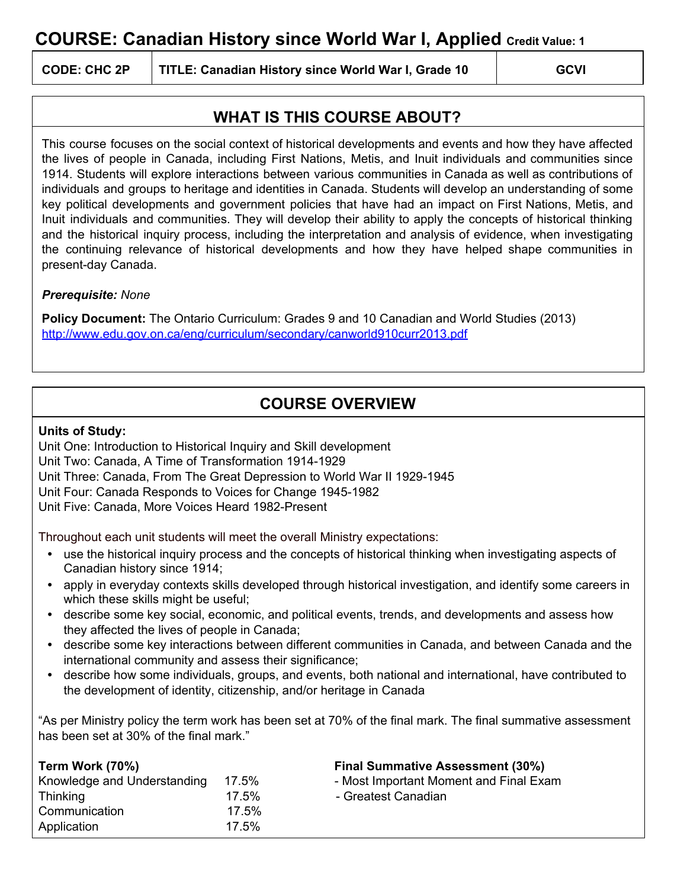# **COURSE: Canadian History since World War I, Applied Credit Value: <sup>1</sup>**

**CODE: CHC 2P TITLE: Canadian History since World War I, Grade 10 GCVI**

### **WHAT IS THIS COURSE ABOUT?**

This course focuses on the social context of historical developments and events and how they have affected the lives of people in Canada, including First Nations, Metis, and Inuit individuals and communities since 1914. Students will explore interactions between various communities in Canada as well as contributions of individuals and groups to heritage and identities in Canada. Students will develop an understanding of some key political developments and government policies that have had an impact on First Nations, Metis, and Inuit individuals and communities. They will develop their ability to apply the concepts of historical thinking and the historical inquiry process, including the interpretation and analysis of evidence, when investigating the continuing relevance of historical developments and how they have helped shape communities in present-day Canada.

#### *Prerequisite: None*

**Policy Document:** The Ontario Curriculum: Grades 9 and 10 Canadian and World Studies (2013) <http://www.edu.gov.on.ca/eng/curriculum/secondary/canworld910curr2013.pdf>

## **COURSE OVERVIEW**

#### **Units of Study:**

Unit One: Introduction to Historical Inquiry and Skill development Unit Two: Canada, A Time of Transformation 1914-1929 Unit Three: Canada, From The Great Depression to World War II 1929-1945 Unit Four: Canada Responds to Voices for Change 1945-1982 Unit Five: Canada, More Voices Heard 1982-Present

Throughout each unit students will meet the overall Ministry expectations:

- **•** use the historical inquiry process and the concepts of historical thinking when investigating aspects of Canadian history since 1914;
- **•** apply in everyday contexts skills developed through historical investigation, and identify some careers in which these skills might be useful;
- **•** describe some key social, economic, and political events, trends, and developments and assess how they affected the lives of people in Canada;
- **•** describe some key interactions between different communities in Canada, and between Canada and the international community and assess their significance;
- **•** describe how some individuals, groups, and events, both national and international, have contributed to the development of identity, citizenship, and/or heritage in Canada

"As per Ministry policy the term work has been set at 70% of the final mark. The final summative assessment has been set at 30% of the final mark."

| Term Work (70%)             |          | <b>Final Summative Assessment (30%)</b> |
|-----------------------------|----------|-----------------------------------------|
| Knowledge and Understanding | 17.5%    | - Most Important Moment and Final Exam  |
| <b>Thinking</b>             | $17.5\%$ | - Greatest Canadian                     |
| Communication               | 17.5%    |                                         |
| Application                 | 17.5%    |                                         |